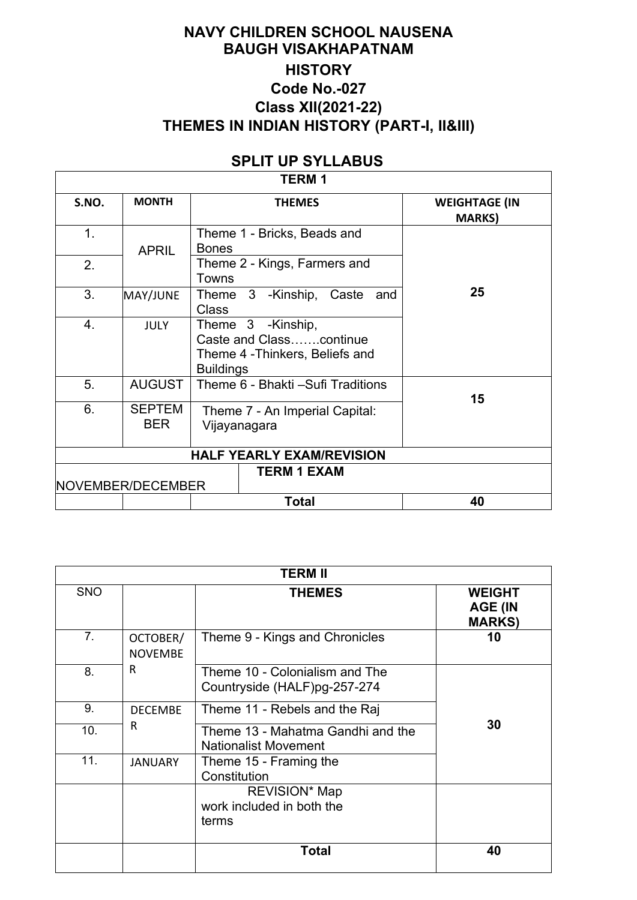## **NAVY CHILDREN SCHOOL NAUSENA BAUGH VISAKHAPATNAM HISTORY Code No.-027 Class XII(2021-22) THEMES IN INDIAN HISTORY (PART-I, II&III)**

# **SPLIT UP SYLLABUS**

|--|

 $\sqrt{ }$ 

| S.NO.          | <b>MONTH</b>                            |                                                | <b>THEMES</b>                                                                   | <b>WEIGHTAGE (IN</b><br><b>MARKS</b> ) |  |  |  |
|----------------|-----------------------------------------|------------------------------------------------|---------------------------------------------------------------------------------|----------------------------------------|--|--|--|
| 1.             | <b>APRIL</b>                            | <b>Bones</b>                                   | Theme 1 - Bricks, Beads and                                                     |                                        |  |  |  |
| 2.             | Towns                                   |                                                | Theme 2 - Kings, Farmers and                                                    |                                        |  |  |  |
| 3 <sub>1</sub> | MAY/JUNE                                | <b>Class</b>                                   | Theme 3 -Kinship, Caste<br>and                                                  | 25                                     |  |  |  |
| 4.             | <b>JULY</b>                             | <b>Buildings</b>                               | Theme 3 -Kinship,<br>Caste and Classcontinue<br>Theme 4 - Thinkers, Beliefs and |                                        |  |  |  |
| 5.             | <b>AUGUST</b>                           |                                                | Theme 6 - Bhakti - Sufi Traditions                                              | 15                                     |  |  |  |
| 6.             | <b>SEPTEM</b><br><b>BER</b>             | Theme 7 - An Imperial Capital:<br>Vijayanagara |                                                                                 |                                        |  |  |  |
|                |                                         |                                                | <b>HALF YEARLY EXAM/REVISION</b>                                                |                                        |  |  |  |
|                | <b>TERM 1 EXAM</b><br>NOVEMBER/DECEMBER |                                                |                                                                                 |                                        |  |  |  |
|                |                                         |                                                | <b>Total</b>                                                                    | 40                                     |  |  |  |

|                |                            | <b>TERM II</b>                                                   |                                                  |
|----------------|----------------------------|------------------------------------------------------------------|--------------------------------------------------|
| <b>SNO</b>     |                            | <b>THEMES</b>                                                    | <b>WEIGHT</b><br><b>AGE (IN</b><br><b>MARKS)</b> |
| 7 <sub>1</sub> | OCTOBER/<br><b>NOVEMBE</b> | Theme 9 - Kings and Chronicles                                   | 10                                               |
| 8.             | R                          | Theme 10 - Colonialism and The<br>Countryside (HALF)pg-257-274   |                                                  |
| 9.             | <b>DECEMBE</b>             | Theme 11 - Rebels and the Raj                                    |                                                  |
| 10.            | R                          | Theme 13 - Mahatma Gandhi and the<br><b>Nationalist Movement</b> | 30                                               |
| 11.            | <b>JANUARY</b>             | Theme 15 - Framing the<br>Constitution                           |                                                  |
|                |                            | <b>REVISION* Map</b><br>work included in both the<br>terms       |                                                  |
|                |                            | <b>Total</b>                                                     | 40                                               |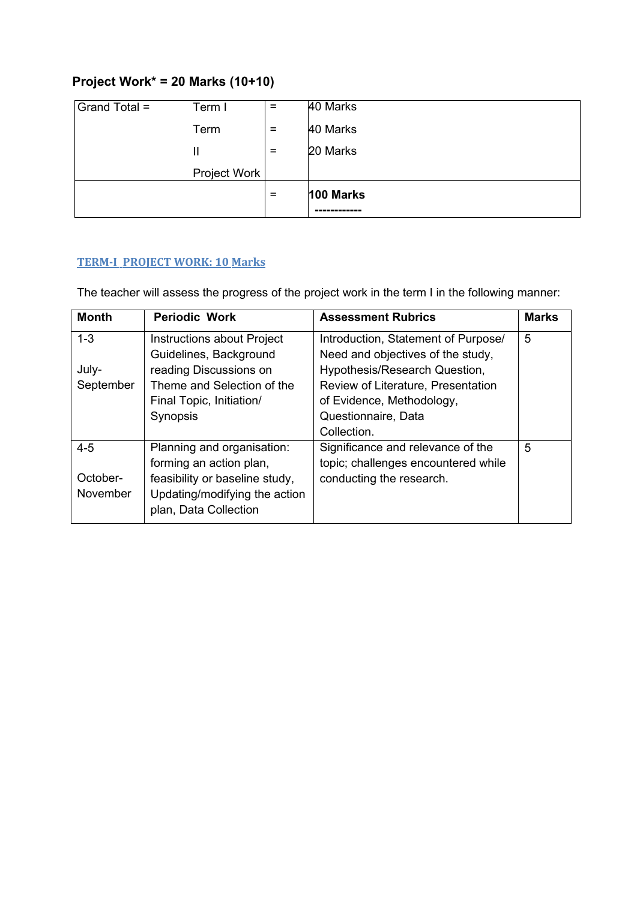# **Project Work\* = 20 Marks (10+10)**

| Grand Total = | Term I       | $=$ | 40 Marks  |
|---------------|--------------|-----|-----------|
|               | Term         | $=$ | 40 Marks  |
|               | Ш            | $=$ | 20 Marks  |
|               | Project Work |     |           |
|               |              | $=$ | 100 Marks |
|               |              |     |           |

## **TERM-I PROJECT WORK: 10 Marks**

The teacher will assess the progress of the project work in the term I in the following manner:

| <b>Month</b>    | <b>Periodic Work</b>           | <b>Assessment Rubrics</b>           | <b>Marks</b> |
|-----------------|--------------------------------|-------------------------------------|--------------|
| $1 - 3$         | Instructions about Project     | Introduction, Statement of Purpose/ | 5            |
|                 | Guidelines, Background         | Need and objectives of the study,   |              |
| July-           | reading Discussions on         | Hypothesis/Research Question,       |              |
| September       | Theme and Selection of the     | Review of Literature, Presentation  |              |
|                 | Final Topic, Initiation/       | of Evidence, Methodology,           |              |
|                 | Synopsis                       | Questionnaire, Data                 |              |
|                 |                                | Collection.                         |              |
| $4 - 5$         | Planning and organisation:     | Significance and relevance of the   | 5            |
|                 | forming an action plan,        | topic; challenges encountered while |              |
| October-        | feasibility or baseline study, | conducting the research.            |              |
| <b>November</b> | Updating/modifying the action  |                                     |              |
|                 | plan, Data Collection          |                                     |              |